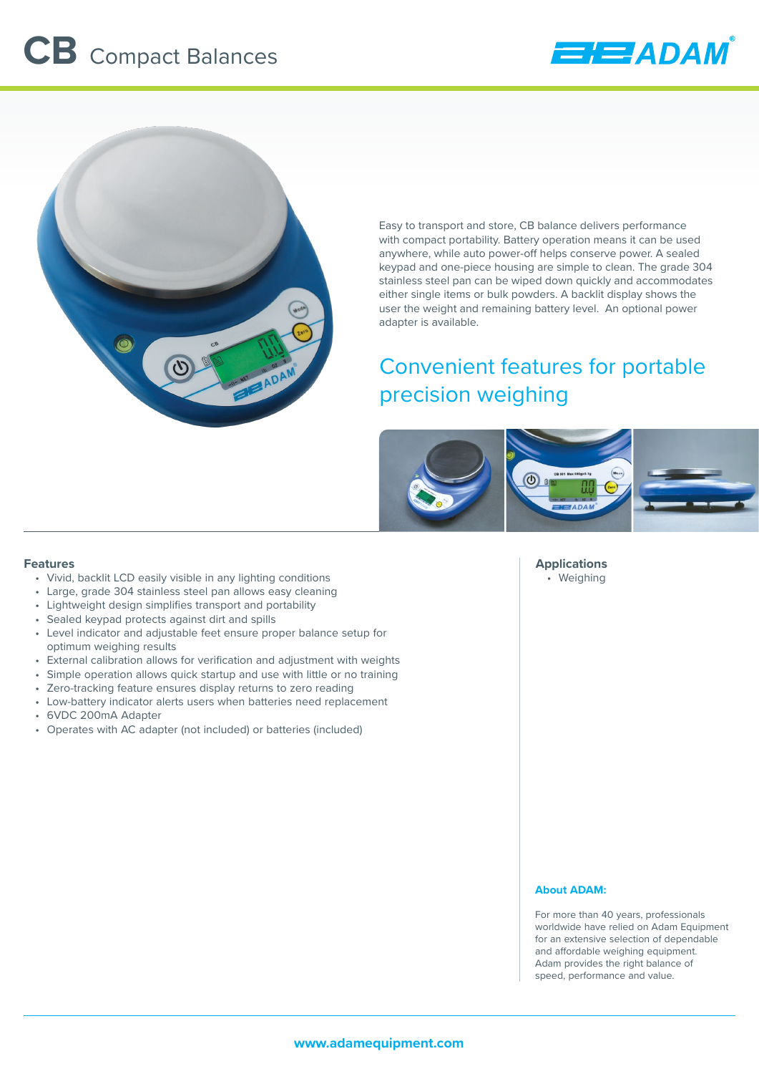



Easy to transport and store, CB balance delivers performance with compact portability. Battery operation means it can be used anywhere, while auto power-off helps conserve power. A sealed keypad and one-piece housing are simple to clean. The grade 304 stainless steel pan can be wiped down quickly and accommodates either single items or bulk powders. A backlit display shows the user the weight and remaining battery level. An optional power adapter is available.

# Convenient features for portable precision weighing



#### **Features**

- Vivid, backlit LCD easily visible in any lighting conditions
- Large, grade 304 stainless steel pan allows easy cleaning
- Lightweight design simplifies transport and portability
- Sealed keypad protects against dirt and spills
- Level indicator and adjustable feet ensure proper balance setup for optimum weighing results
- External calibration allows for verification and adjustment with weights
- Simple operation allows quick startup and use with little or no training
- Zero-tracking feature ensures display returns to zero reading
- Low-battery indicator alerts users when batteries need replacement
- 6VDC 200mA Adapter
- Operates with AC adapter (not included) or batteries (included)

#### **Applications** • Weighing

## **About ADAM:**

For more than 40 years, professionals worldwide have relied on Adam Equipment for an extensive selection of dependable and affordable weighing equipment. Adam provides the right balance of speed, performance and value.